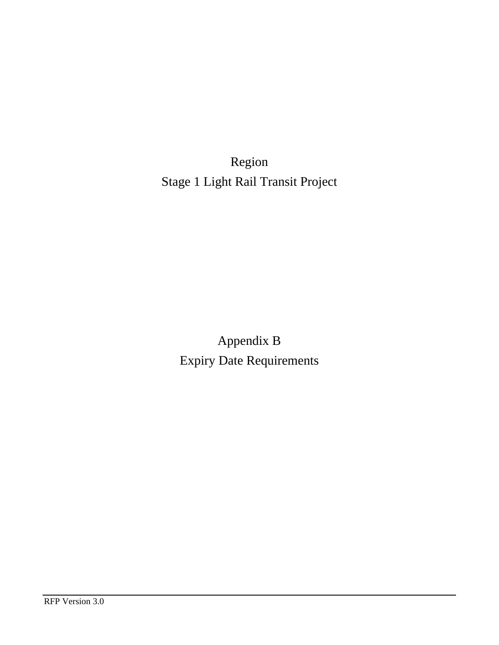Region Stage 1 Light Rail Transit Project

> Appendix B Expiry Date Requirements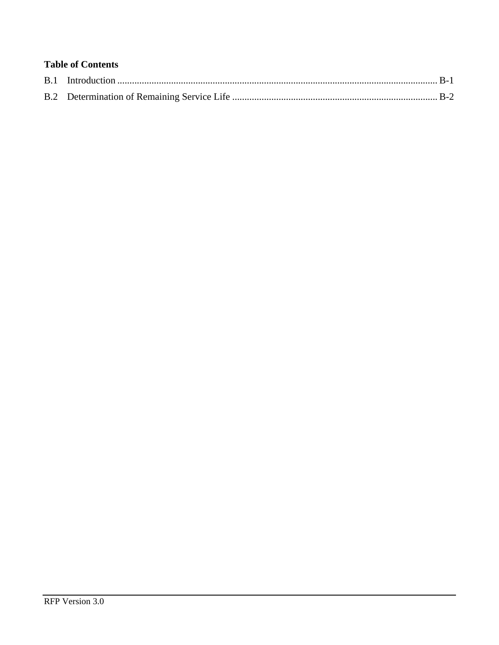# **Table of Contents**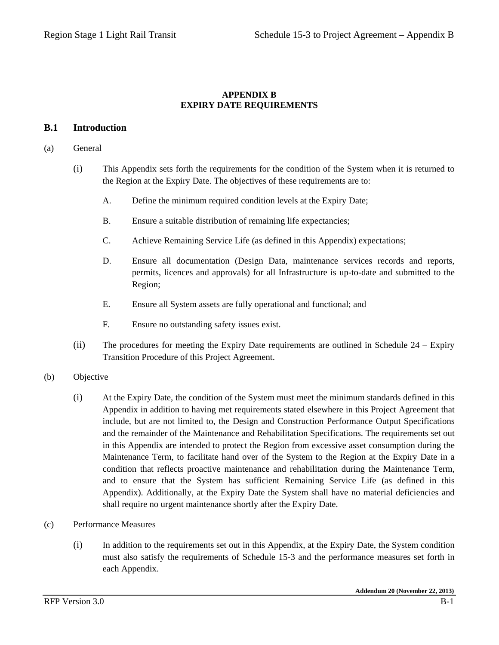## **APPENDIX B EXPIRY DATE REQUIREMENTS**

### **B.1 Introduction**

#### (a) General

- (i) This Appendix sets forth the requirements for the condition of the System when it is returned to the Region at the Expiry Date. The objectives of these requirements are to:
	- A. Define the minimum required condition levels at the Expiry Date;
	- B. Ensure a suitable distribution of remaining life expectancies;
	- C. Achieve Remaining Service Life (as defined in this Appendix) expectations;
	- D. Ensure all documentation (Design Data, maintenance services records and reports, permits, licences and approvals) for all Infrastructure is up-to-date and submitted to the Region;
	- E. Ensure all System assets are fully operational and functional; and
	- F. Ensure no outstanding safety issues exist.
- (ii) The procedures for meeting the Expiry Date requirements are outlined in Schedule 24 Expiry Transition Procedure of this Project Agreement.

#### (b) Objective

- (i) At the Expiry Date, the condition of the System must meet the minimum standards defined in this Appendix in addition to having met requirements stated elsewhere in this Project Agreement that include, but are not limited to, the Design and Construction Performance Output Specifications and the remainder of the Maintenance and Rehabilitation Specifications. The requirements set out in this Appendix are intended to protect the Region from excessive asset consumption during the Maintenance Term, to facilitate hand over of the System to the Region at the Expiry Date in a condition that reflects proactive maintenance and rehabilitation during the Maintenance Term, and to ensure that the System has sufficient Remaining Service Life (as defined in this Appendix). Additionally, at the Expiry Date the System shall have no material deficiencies and shall require no urgent maintenance shortly after the Expiry Date.
- (c) Performance Measures
	- (i) In addition to the requirements set out in this Appendix, at the Expiry Date, the System condition must also satisfy the requirements of Schedule 15-3 and the performance measures set forth in each Appendix.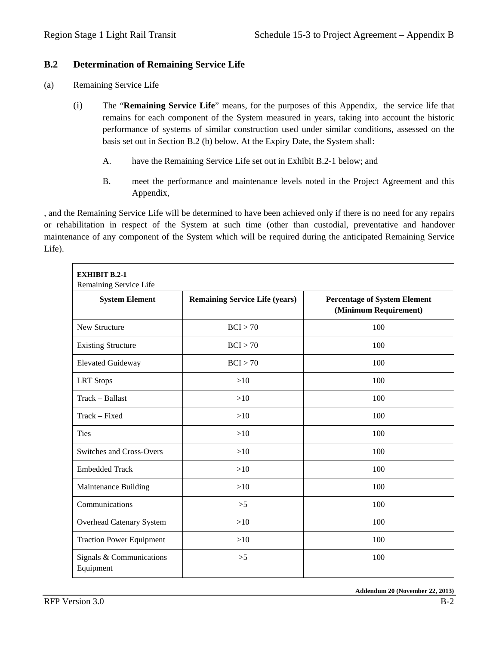# **B.2 Determination of Remaining Service Life**

- (a) Remaining Service Life
	- (i) The "**Remaining Service Life**" means, for the purposes of this Appendix, the service life that remains for each component of the System measured in years, taking into account the historic performance of systems of similar construction used under similar conditions, assessed on the basis set out in Section B.2 (b) below. At the Expiry Date, the System shall:
		- A. have the Remaining Service Life set out in Exhibit B.2-1 below; and
		- B. meet the performance and maintenance levels noted in the Project Agreement and this Appendix,

, and the Remaining Service Life will be determined to have been achieved only if there is no need for any repairs or rehabilitation in respect of the System at such time (other than custodial, preventative and handover maintenance of any component of the System which will be required during the anticipated Remaining Service Life).

| <b>EXHIBIT B.2-1</b><br>Remaining Service Life |                                       |                                                              |  |  |  |
|------------------------------------------------|---------------------------------------|--------------------------------------------------------------|--|--|--|
| <b>System Element</b>                          | <b>Remaining Service Life (years)</b> | <b>Percentage of System Element</b><br>(Minimum Requirement) |  |  |  |
| New Structure                                  | BCI > 70                              | 100                                                          |  |  |  |
| <b>Existing Structure</b>                      | BCI > 70                              | 100                                                          |  |  |  |
| <b>Elevated Guideway</b>                       | BCI > 70                              | 100                                                          |  |  |  |
| <b>LRT</b> Stops                               | >10                                   | 100                                                          |  |  |  |
| Track - Ballast                                | >10                                   | 100                                                          |  |  |  |
| Track – Fixed                                  | >10                                   | 100                                                          |  |  |  |
| <b>Ties</b>                                    | >10                                   | 100                                                          |  |  |  |
| <b>Switches and Cross-Overs</b>                | >10                                   | 100                                                          |  |  |  |
| <b>Embedded Track</b>                          | >10                                   | 100                                                          |  |  |  |
| Maintenance Building                           | >10                                   | 100                                                          |  |  |  |
| Communications                                 | >5                                    | 100                                                          |  |  |  |
| <b>Overhead Catenary System</b>                | >10                                   | 100                                                          |  |  |  |
| <b>Traction Power Equipment</b>                | $>10$                                 | 100                                                          |  |  |  |
| Signals & Communications<br>Equipment          | $>\!\!5$                              | 100                                                          |  |  |  |

**Addendum 20 (November 22, 2013)**